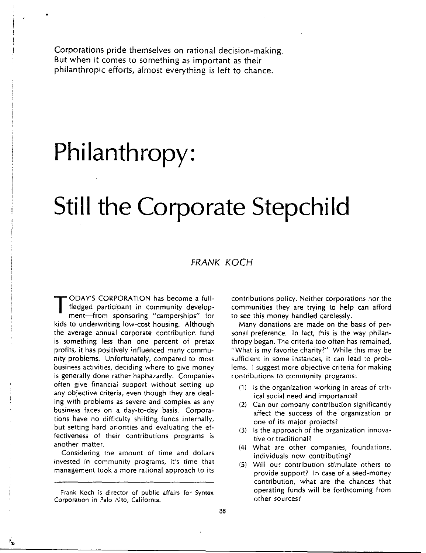Corporations pride themselves on rational decision-making. But when it comes to something as important as their philanthropic efforts, almost everything is left to chance.

# **Philanthropy:**

•

## **Still the Corporate Stepchild**

#### FRANK KOCH

TODAY'S CORPORATION has become a full-<br>fledged participant in community develop<br>ment—from sponsoring "camperships" fo fledged participant in community development-from sponsoring "camperships" for kids to underwriting low-cost housing. Although the average annual corporate contribution fund is something less than one percent of pretax profits, it has positively influenced many community problems. Unfortunately, compared to most business activities, deciding where to give money is generally done rather haphazardly. Companies often give financial support without setting up any objective criteria, even though they are dealing with problems as severe and complex as any business faces on a day-to-day basis. Corporations have no difficulty shifting funds internally, but setting hard priorities and evaluating the effectiveness of their contributions programs is another matter.

Considering the amount of time and dollars invested in community programs, it's time that management took a more rational approach to its contributions policy. Neither corporations nor the communities they are trying to help can afford to see this money handled carelessly.

Many donations are made on the basis of personal preference. In fact, this is the way philanthropy began. The criteria too often has remained, "What is my favorite charity?" While this may be sufficient in some instances, it can lead to problems. I suggest more objective criteria for making contributions to community programs:

- (1) Is the organization working in areas of critical social need and importance?
- (2) Can our company contribution significantly affect the success of the organization or one of its major projects?
- (3) Is the approach of the organization innovative or traditional?
- (4) What are other companies, foundations, individuals now contributing?
- (5) Will our contribution stimulate others to provide support? In case of a seed-money contribution, what are the chances that operating funds will be forthcoming from other sources?

Frank Koch is director of public affairs for Syntex **Corporation in Palo Alto, California.**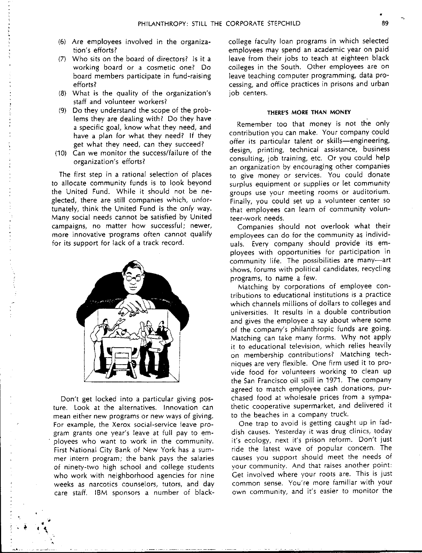- (6) Are employees involved in the organization's efforts?
- (7) Who sits on the board of directors? Is it a working board or a cosmetic one? Do board members participate in fund-raising efforts?
- (8) What is the quality of the organization's staff and volunteer workers?
- (9) Do they understand the scope of the problems they are dealing with? Do they have a specific goal, know what they need, and have a plan for what they need? If they get what they need, can they succeed?
- (10) Can we monitor the success/failure of the organization's efforts?

The first step in a rational selection of places to allocate community funds is to look beyond the United Fund. While it should not be neglected, there are still companies which, unfortunately, think the United Fund is the *only* way. Many social needs cannot be satisfied by United campaigns, no matter how successful; newer, more innovative programs often cannot qualify for its support for lack of a track record.



Don't get locked into a particular giving posture. Look at the alternatives. Innovation can mean either new programs or new ways of giving. For example, the Xerox social-service leave program grants one year's leave at full pay to employees who want to work in the community. First National City Bank of New York has a summer intern program; the bank pays the salaries of ninety-two high school and college students who work with neighborhood agencies for nine **weeks as narcotics counselors <sup>1</sup>tutors, and day**  care staff. IBM sponsors a number of black-

 $\cdot$ ...

college faculty loan programs in which selected employees may spend an academic year on paid leave from their jobs to teach at eighteen black colleges in the South. Other employees are on leave teaching computer programming, data processing, and office practices in prisons and urban job centers.

#### **THERE'S MORE THAN MONEY**

Remember too that money is not the only contribution you can make. Your company could offer its particular talent or skills-engineering, design, printing, technical assistance, business consulting, job training, etc. Or you could help an organization by encouraging other companies to give money or services. You could donate surplus equipment or supplies or let community groups use your meeting rooms or auditorium. Finally, you could set up a volunteer center so that employees can learn of community volunteer-work needs.

Companies should not overlook what their employees can do for the community as individuals. Every company should provide its employees with opportunities for participation in community life. The possibilities are many-art shows, forums with political candidates, recycling programs, to name a few.

Matching by corporations of employee contributions to educational institutions is a practice which channels millions of dollars to colleges and universities. It results in a double contribution and gives the employee a say about where some of the company's philanthropic funds are going. Matching can take many forms. Why not apply it to educational television, which relies heavily on membership contributions? Matching techniques are very flexible. One firm used it to provide food for volunteers working to clean up the San Francisco oil spill in 1971. The company agreed to match employee cash donations, purchased food at wholesale prices from a sympathetic cooperative supermarket, and delivered it to the beaches in a company truck.

One trap to avoid is getting caught up in faddish causes. Yesterday it was drug clinics, today it's ecology, next it's prison reform. Don't just ride the latest wave of popular concern. The causes you support should meet the needs of your community. And that raises another point: Get involved where your roots are. This is just common sense. You're more familiar with your own community, and it's easier to monitor the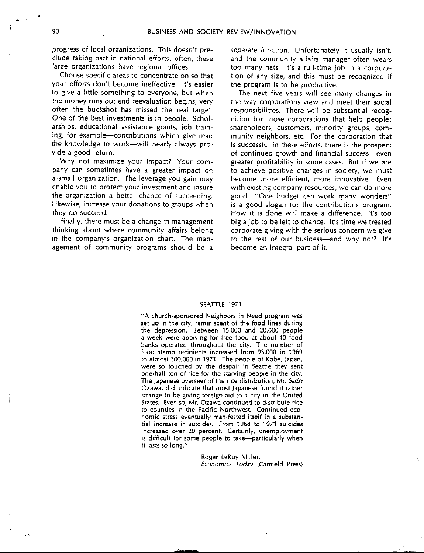progress of local organizations. This doesn't preclude taking part in national efforts; often, these large organizations have regional offices.

Choose specific areas to concentrate on so that your efforts don't become ineffective. It's easier to give a little something to everyone, but when the money runs out and reevaluation begins, very often the buckshot has missed the real target. One of the best investments is in people. Scholarships, educational assistance grants, job training, for example--contributions which give man the knowledge to work-will nearly always provide a good return.

Why not maximize your impact? Your company can sometimes have a greater impact on a small organization. The leverage you gain may enable you to protect your investment and insure the organization a better chance of succeeding. Likewise, increase your donations to groups when they do succeed.

Finally, there must be a change in management thinking about where community affairs belong in the company's organization chart. The management of community programs should be a separate function. Unfortunately it usually isn't, and the community affairs manager often wears too many hats. It's a full-time job in a corporation of any size, and this must be recognized if the program is to be productive.

The next five years will see many changes in the way corporations view and meet their social responsibilities. There will be substantial recognition for those corporations that help people: shareholders, customers, minority groups, community neighbors, etc. For the corporation that is successful in these efforts, there is the prospect of continued growth and financial success-even greater profitability in some cases. But if we are to achieve positive changes in society, we must become more efficient, more innovative. Even with existing company resources, we can do more good. "One budget can work many wonders" is a good slogan for the contributions program. How it is done will make a difference. It's too big a job to be left to chance. It's time we treated corporate giving with the serious concern we give to the rest of our business-and why not? It's become an integral part of it.

#### SEA **TILE** 1971

"A church-sponsored Neighbors in Need program was **set up in the city, reminiscent of the food lines during**  the depression. Between 15,000 and 20,000 people a week were applying for free food at about 40 food banks operated throughout the city. The number of food stamp recipients increased from 93,000 in 1969 to almost 300,000 in 1971. The people of Kobe, Japan, were so touched by the despair in Seattle they sent one-half ton of rice for the starving people in the city. The Japanese overseer of the rice distribution, Mr. Sado Ozawa, did indicate that most Japanese found it rather strange to be giving foreign aid to a city in the United **States. Even so, Mr. Ozawa continued to distribute rice to counties in the Pacific Northwest. Continued economic stress eventually manifested itself in a substantial increase in suicides. From 1968 to 1971 suicides increased over 20 percent. Certainly, unemployment**  is difficult for some people to take-particularly when it lasts so long."

> Roger LeRoy Miller, *Economics Today* (Canfield Press)

•